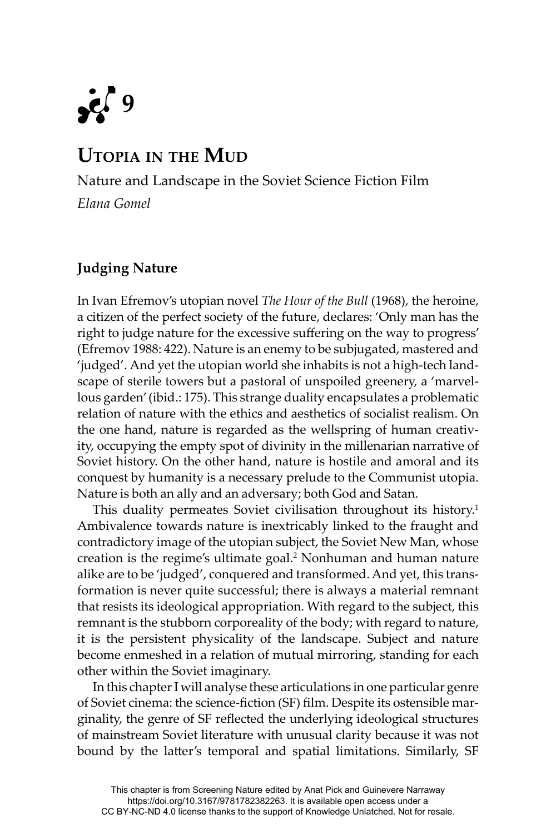

# **Utopia in the Mud**

Nature and Landscape in the Soviet Science Fiction Film *Elana Gomel*

# **Judging Nature**

In Ivan Efremov's utopian novel *The Hour of the Bull* (1968), the heroine, a citizen of the perfect society of the future, declares: 'Only man has the right to judge nature for the excessive suffering on the way to progress' (Efremov 1988: 422). Nature is an enemy to be subjugated, mastered and 'judged'. And yet the utopian world she inhabits is not a high-tech landscape of sterile towers but a pastoral of unspoiled greenery, a 'marvellous garden' (ibid.: 175). This strange duality encapsulates a problematic relation of nature with the ethics and aesthetics of socialist realism. On the one hand, nature is regarded as the wellspring of human creativity, occupying the empty spot of divinity in the millenarian narrative of Soviet history. On the other hand, nature is hostile and amoral and its conquest by humanity is a necessary prelude to the Communist utopia. Nature is both an ally and an adversary; both God and Satan.

This duality permeates Soviet civilisation throughout its history.<sup>1</sup> Ambivalence towards nature is inextricably linked to the fraught and contradictory image of the utopian subject, the Soviet New Man, whose creation is the regime's ultimate goal.<sup>2</sup> Nonhuman and human nature alike are to be 'judged', conquered and transformed. And yet, this transformation is never quite successful; there is always a material remnant that resists its ideological appropriation. With regard to the subject, this remnant is the stubborn corporeality of the body; with regard to nature, it is the persistent physicality of the landscape. Subject and nature become enmeshed in a relation of mutual mirroring, standing for each other within the Soviet imaginary.

In this chapter I will analyse these articulations in one particular genre of Soviet cinema: the science-fiction (SF) film. Despite its ostensible marginality, the genre of SF reflected the underlying ideological structures of mainstream Soviet literature with unusual clarity because it was not bound by the latter's temporal and spatial limitations. Similarly, SF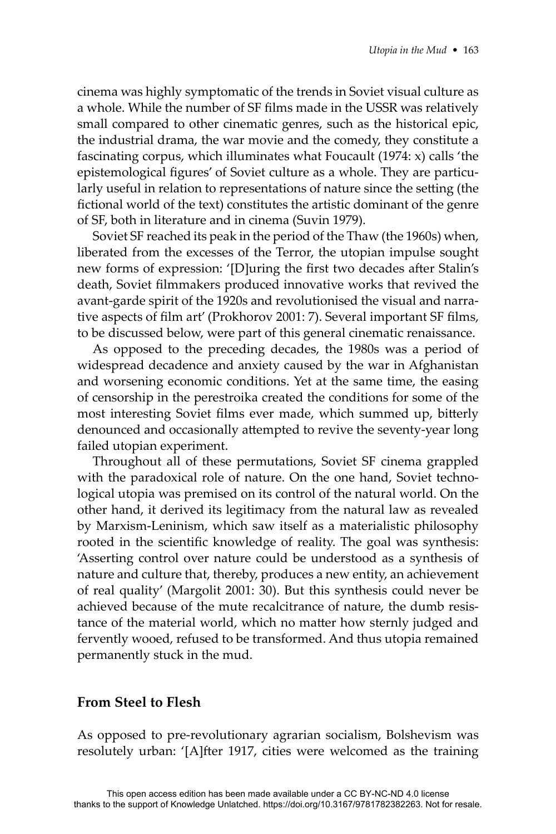cinema was highly symptomatic of the trends in Soviet visual culture as a whole. While the number of SF films made in the USSR was relatively small compared to other cinematic genres, such as the historical epic, the industrial drama, the war movie and the comedy, they constitute a fascinating corpus, which illuminates what Foucault (1974: x) calls 'the epistemological figures' of Soviet culture as a whole. They are particularly useful in relation to representations of nature since the setting (the fictional world of the text) constitutes the artistic dominant of the genre of SF, both in literature and in cinema (Suvin 1979).

Soviet SF reached its peak in the period of the Thaw (the 1960s) when, liberated from the excesses of the Terror, the utopian impulse sought new forms of expression: '[D]uring the first two decades after Stalin's death, Soviet filmmakers produced innovative works that revived the avant-garde spirit of the 1920s and revolutionised the visual and narrative aspects of film art' (Prokhorov 2001: 7). Several important SF films, to be discussed below, were part of this general cinematic renaissance.

As opposed to the preceding decades, the 1980s was a period of widespread decadence and anxiety caused by the war in Afghanistan and worsening economic conditions. Yet at the same time, the easing of censorship in the perestroika created the conditions for some of the most interesting Soviet films ever made, which summed up, bitterly denounced and occasionally attempted to revive the seventy-year long failed utopian experiment.

Throughout all of these permutations, Soviet SF cinema grappled with the paradoxical role of nature. On the one hand, Soviet technological utopia was premised on its control of the natural world. On the other hand, it derived its legitimacy from the natural law as revealed by Marxism-Leninism, which saw itself as a materialistic philosophy rooted in the scientific knowledge of reality. The goal was synthesis: 'Asserting control over nature could be understood as a synthesis of nature and culture that, thereby, produces a new entity, an achievement of real quality' (Margolit 2001: 30). But this synthesis could never be achieved because of the mute recalcitrance of nature, the dumb resistance of the material world, which no matter how sternly judged and fervently wooed, refused to be transformed. And thus utopia remained permanently stuck in the mud.

### **From Steel to Flesh**

As opposed to pre-revolutionary agrarian socialism, Bolshevism was resolutely urban: '[A]fter 1917, cities were welcomed as the training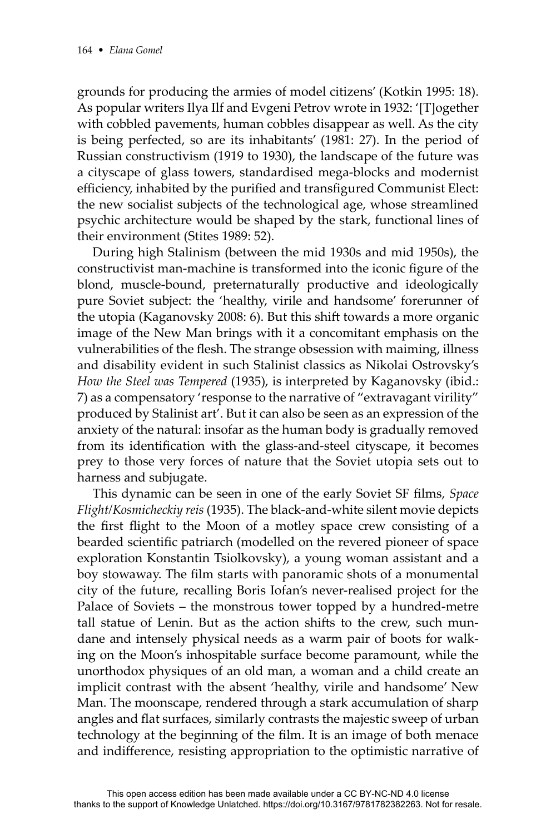grounds for producing the armies of model citizens' (Kotkin 1995: 18). As popular writers Ilya Ilf and Evgeni Petrov wrote in 1932: '[T]ogether with cobbled pavements, human cobbles disappear as well. As the city is being perfected, so are its inhabitants' (1981: 27). In the period of Russian constructivism (1919 to 1930), the landscape of the future was a cityscape of glass towers, standardised mega-blocks and modernist efficiency, inhabited by the purified and transfigured Communist Elect: the new socialist subjects of the technological age, whose streamlined psychic architecture would be shaped by the stark, functional lines of their environment (Stites 1989: 52).

During high Stalinism (between the mid 1930s and mid 1950s), the constructivist man-machine is transformed into the iconic figure of the blond, muscle-bound, preternaturally productive and ideologically pure Soviet subject: the 'healthy, virile and handsome' forerunner of the utopia (Kaganovsky 2008: 6). But this shift towards a more organic image of the New Man brings with it a concomitant emphasis on the vulnerabilities of the flesh. The strange obsession with maiming, illness and disability evident in such Stalinist classics as Nikolai Ostrovsky's *How the Steel was Tempered* (1935), is interpreted by Kaganovsky (ibid.: 7) as a compensatory 'response to the narrative of "extravagant virility" produced by Stalinist art'. But it can also be seen as an expression of the anxiety of the natural: insofar as the human body is gradually removed from its identification with the glass-and-steel cityscape, it becomes prey to those very forces of nature that the Soviet utopia sets out to harness and subjugate.

This dynamic can be seen in one of the early Soviet SF films, *Space Flight/Kosmicheckiy reis* (1935). The black-and-white silent movie depicts the first flight to the Moon of a motley space crew consisting of a bearded scientific patriarch (modelled on the revered pioneer of space exploration Konstantin Tsiolkovsky), a young woman assistant and a boy stowaway. The film starts with panoramic shots of a monumental city of the future, recalling Boris Iofan's never-realised project for the Palace of Soviets – the monstrous tower topped by a hundred-metre tall statue of Lenin. But as the action shifts to the crew, such mundane and intensely physical needs as a warm pair of boots for walking on the Moon's inhospitable surface become paramount, while the unorthodox physiques of an old man, a woman and a child create an implicit contrast with the absent 'healthy, virile and handsome' New Man. The moonscape, rendered through a stark accumulation of sharp angles and flat surfaces, similarly contrasts the majestic sweep of urban technology at the beginning of the film. It is an image of both menace and indifference, resisting appropriation to the optimistic narrative of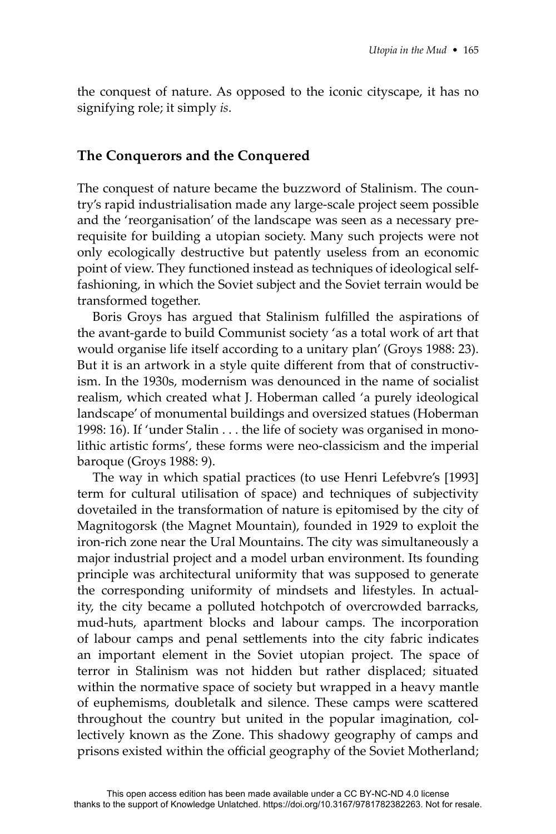the conquest of nature. As opposed to the iconic cityscape, it has no signifying role; it simply *is*.

### **The Conquerors and the Conquered**

The conquest of nature became the buzzword of Stalinism. The country's rapid industrialisation made any large-scale project seem possible and the 'reorganisation' of the landscape was seen as a necessary prerequisite for building a utopian society. Many such projects were not only ecologically destructive but patently useless from an economic point of view. They functioned instead as techniques of ideological selffashioning, in which the Soviet subject and the Soviet terrain would be transformed together.

Boris Groys has argued that Stalinism fulfilled the aspirations of the avant-garde to build Communist society 'as a total work of art that would organise life itself according to a unitary plan' (Groys 1988: 23). But it is an artwork in a style quite different from that of constructivism. In the 1930s, modernism was denounced in the name of socialist realism, which created what J. Hoberman called 'a purely ideological landscape' of monumental buildings and oversized statues (Hoberman 1998: 16). If 'under Stalin . . . the life of society was organised in monolithic artistic forms', these forms were neo-classicism and the imperial baroque (Groys 1988: 9).

The way in which spatial practices (to use Henri Lefebvre's [1993] term for cultural utilisation of space) and techniques of subjectivity dovetailed in the transformation of nature is epitomised by the city of Magnitogorsk (the Magnet Mountain), founded in 1929 to exploit the iron-rich zone near the Ural Mountains. The city was simultaneously a major industrial project and a model urban environment. Its founding principle was architectural uniformity that was supposed to generate the corresponding uniformity of mindsets and lifestyles. In actuality, the city became a polluted hotchpotch of overcrowded barracks, mud-huts, apartment blocks and labour camps. The incorporation of labour camps and penal settlements into the city fabric indicates an important element in the Soviet utopian project. The space of terror in Stalinism was not hidden but rather displaced; situated within the normative space of society but wrapped in a heavy mantle of euphemisms, doubletalk and silence. These camps were scattered throughout the country but united in the popular imagination, collectively known as the Zone. This shadowy geography of camps and prisons existed within the official geography of the Soviet Motherland;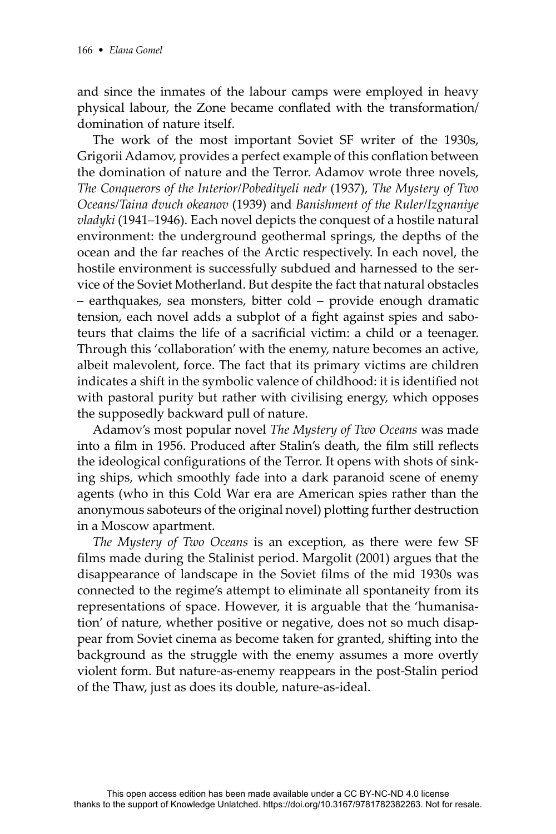and since the inmates of the labour camps were employed in heavy physical labour, the Zone became conflated with the transformation/ domination of nature itself.

The work of the most important Soviet SF writer of the 1930s, Grigorii Adamov, provides a perfect example of this conflation between the domination of nature and the Terror. Adamov wrote three novels, *The Conquerors of the Interior/Pobedityeli nedr* (1937), *The Mystery of Two Oceans/Taina dvuch okeanov* (1939) and *Banishment of the Ruler/Izgnaniye vladyki* (1941–1946). Each novel depicts the conquest of a hostile natural environment: the underground geothermal springs, the depths of the ocean and the far reaches of the Arctic respectively. In each novel, the hostile environment is successfully subdued and harnessed to the service of the Soviet Motherland. But despite the fact that natural obstacles – earthquakes, sea monsters, bitter cold – provide enough dramatic tension, each novel adds a subplot of a fight against spies and saboteurs that claims the life of a sacrificial victim: a child or a teenager. Through this 'collaboration' with the enemy, nature becomes an active, albeit malevolent, force. The fact that its primary victims are children indicates a shift in the symbolic valence of childhood: it is identified not with pastoral purity but rather with civilising energy, which opposes the supposedly backward pull of nature.

Adamov's most popular novel *The Mystery of Two Oceans* was made into a film in 1956. Produced after Stalin's death, the film still reflects the ideological configurations of the Terror. It opens with shots of sinking ships, which smoothly fade into a dark paranoid scene of enemy agents (who in this Cold War era are American spies rather than the anonymous saboteurs of the original novel) plotting further destruction in a Moscow apartment.

*The Mystery of Two Oceans* is an exception, as there were few SF films made during the Stalinist period. Margolit (2001) argues that the disappearance of landscape in the Soviet films of the mid 1930s was connected to the regime's attempt to eliminate all spontaneity from its representations of space. However, it is arguable that the 'humanisation' of nature, whether positive or negative, does not so much disappear from Soviet cinema as become taken for granted, shifting into the background as the struggle with the enemy assumes a more overtly violent form. But nature-as-enemy reappears in the post-Stalin period of the Thaw, just as does its double, nature-as-ideal.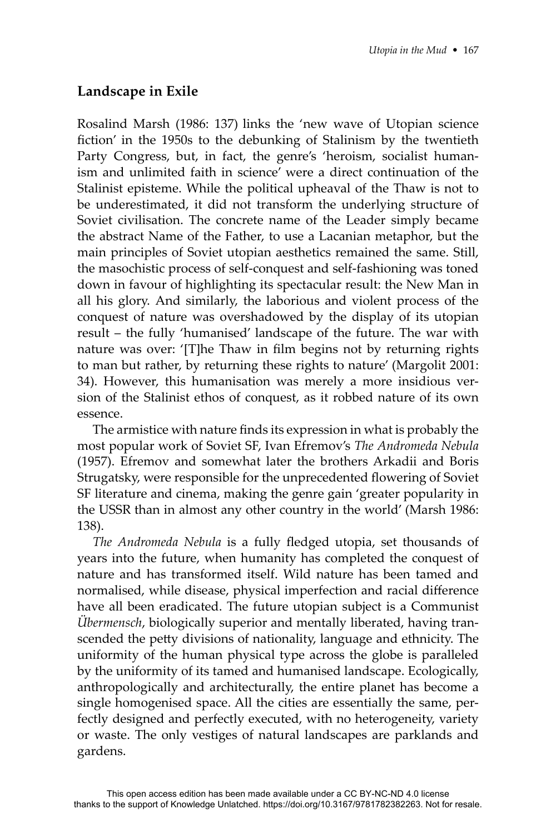# **Landscape in Exile**

Rosalind Marsh (1986: 137) links the 'new wave of Utopian science fiction' in the 1950s to the debunking of Stalinism by the twentieth Party Congress, but, in fact, the genre's 'heroism, socialist humanism and unlimited faith in science' were a direct continuation of the Stalinist episteme. While the political upheaval of the Thaw is not to be underestimated, it did not transform the underlying structure of Soviet civilisation. The concrete name of the Leader simply became the abstract Name of the Father, to use a Lacanian metaphor, but the main principles of Soviet utopian aesthetics remained the same. Still, the masochistic process of self-conquest and self-fashioning was toned down in favour of highlighting its spectacular result: the New Man in all his glory. And similarly, the laborious and violent process of the conquest of nature was overshadowed by the display of its utopian result – the fully 'humanised' landscape of the future. The war with nature was over: '[T]he Thaw in film begins not by returning rights to man but rather, by returning these rights to nature' (Margolit 2001: 34). However, this humanisation was merely a more insidious version of the Stalinist ethos of conquest, as it robbed nature of its own essence.

The armistice with nature finds its expression in what is probably the most popular work of Soviet SF, Ivan Efremov's *The Andromeda Nebula* (1957). Efremov and somewhat later the brothers Arkadii and Boris Strugatsky, were responsible for the unprecedented flowering of Soviet SF literature and cinema, making the genre gain 'greater popularity in the USSR than in almost any other country in the world' (Marsh 1986: 138).

*The Andromeda Nebula* is a fully fledged utopia, set thousands of years into the future, when humanity has completed the conquest of nature and has transformed itself. Wild nature has been tamed and normalised, while disease, physical imperfection and racial difference have all been eradicated. The future utopian subject is a Communist *Übermensch*, biologically superior and mentally liberated, having transcended the petty divisions of nationality, language and ethnicity. The uniformity of the human physical type across the globe is paralleled by the uniformity of its tamed and humanised landscape. Ecologically, anthropologically and architecturally, the entire planet has become a single homogenised space. All the cities are essentially the same, perfectly designed and perfectly executed, with no heterogeneity, variety or waste. The only vestiges of natural landscapes are parklands and gardens.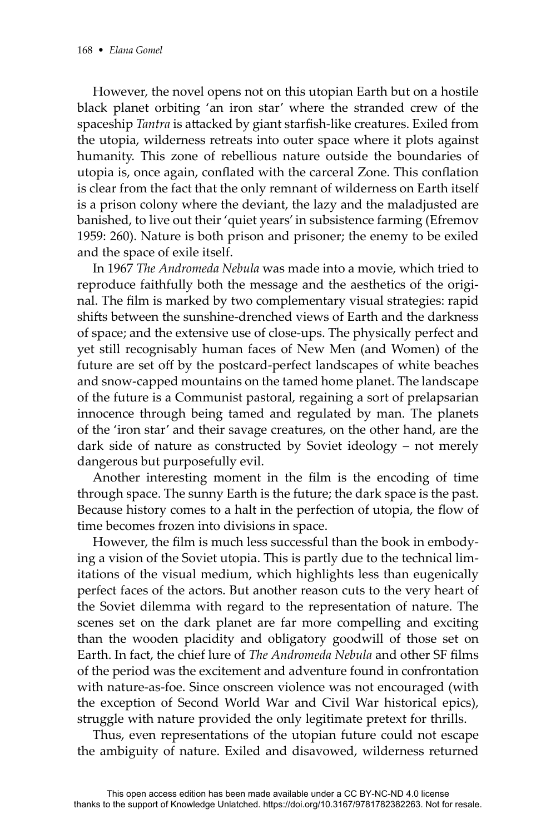However, the novel opens not on this utopian Earth but on a hostile black planet orbiting 'an iron star' where the stranded crew of the spaceship *Tantra* is attacked by giant starfish-like creatures. Exiled from the utopia, wilderness retreats into outer space where it plots against humanity. This zone of rebellious nature outside the boundaries of utopia is, once again, conflated with the carceral Zone. This conflation is clear from the fact that the only remnant of wilderness on Earth itself is a prison colony where the deviant, the lazy and the maladjusted are banished, to live out their 'quiet years' in subsistence farming (Efremov 1959: 260). Nature is both prison and prisoner; the enemy to be exiled and the space of exile itself.

In 1967 *The Andromeda Nebula* was made into a movie, which tried to reproduce faithfully both the message and the aesthetics of the original. The film is marked by two complementary visual strategies: rapid shifts between the sunshine-drenched views of Earth and the darkness of space; and the extensive use of close-ups. The physically perfect and yet still recognisably human faces of New Men (and Women) of the future are set off by the postcard-perfect landscapes of white beaches and snow-capped mountains on the tamed home planet. The landscape of the future is a Communist pastoral, regaining a sort of prelapsarian innocence through being tamed and regulated by man. The planets of the 'iron star' and their savage creatures, on the other hand, are the dark side of nature as constructed by Soviet ideology – not merely dangerous but purposefully evil.

Another interesting moment in the film is the encoding of time through space. The sunny Earth is the future; the dark space is the past. Because history comes to a halt in the perfection of utopia, the flow of time becomes frozen into divisions in space.

However, the film is much less successful than the book in embodying a vision of the Soviet utopia. This is partly due to the technical limitations of the visual medium, which highlights less than eugenically perfect faces of the actors. But another reason cuts to the very heart of the Soviet dilemma with regard to the representation of nature. The scenes set on the dark planet are far more compelling and exciting than the wooden placidity and obligatory goodwill of those set on Earth. In fact, the chief lure of *The Andromeda Nebula* and other SF films of the period was the excitement and adventure found in confrontation with nature-as-foe. Since onscreen violence was not encouraged (with the exception of Second World War and Civil War historical epics), struggle with nature provided the only legitimate pretext for thrills.

Thus, even representations of the utopian future could not escape the ambiguity of nature. Exiled and disavowed, wilderness returned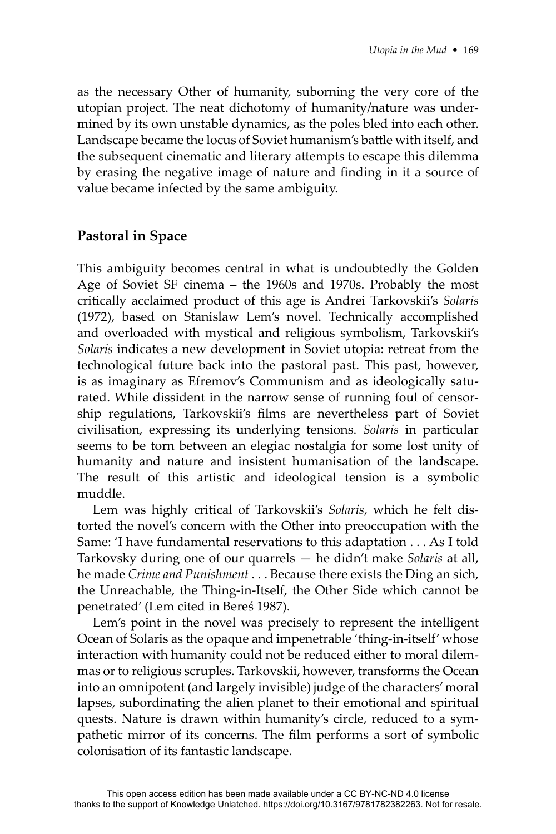as the necessary Other of humanity, suborning the very core of the utopian project. The neat dichotomy of humanity/nature was undermined by its own unstable dynamics, as the poles bled into each other. Landscape became the locus of Soviet humanism's battle with itself, and the subsequent cinematic and literary attempts to escape this dilemma by erasing the negative image of nature and finding in it a source of value became infected by the same ambiguity.

## **Pastoral in Space**

This ambiguity becomes central in what is undoubtedly the Golden Age of Soviet SF cinema – the 1960s and 1970s. Probably the most critically acclaimed product of this age is Andrei Tarkovskii's *Solaris* (1972), based on Stanislaw Lem's novel. Technically accomplished and overloaded with mystical and religious symbolism, Tarkovskii's *Solaris* indicates a new development in Soviet utopia: retreat from the technological future back into the pastoral past. This past, however, is as imaginary as Efremov's Communism and as ideologically saturated. While dissident in the narrow sense of running foul of censorship regulations, Tarkovskii's films are nevertheless part of Soviet civilisation, expressing its underlying tensions. *Solaris* in particular seems to be torn between an elegiac nostalgia for some lost unity of humanity and nature and insistent humanisation of the landscape. The result of this artistic and ideological tension is a symbolic muddle.

Lem was highly critical of Tarkovskii's *Solaris*, which he felt distorted the novel's concern with the Other into preoccupation with the Same: 'I have fundamental reservations to this adaptation . . . As I told Tarkovsky during one of our quarrels — he didn't make *Solaris* at all, he made *Crime and Punishment* . . . Because there exists the Ding an sich, the Unreachable, the Thing-in-Itself, the Other Side which cannot be penetrated' (Lem cited in Bereś 1987).

Lem's point in the novel was precisely to represent the intelligent Ocean of Solaris as the opaque and impenetrable 'thing-in-itself' whose interaction with humanity could not be reduced either to moral dilemmas or to religious scruples. Tarkovskii, however, transforms the Ocean into an omnipotent (and largely invisible) judge of the characters' moral lapses, subordinating the alien planet to their emotional and spiritual quests. Nature is drawn within humanity's circle, reduced to a sympathetic mirror of its concerns. The film performs a sort of symbolic colonisation of its fantastic landscape.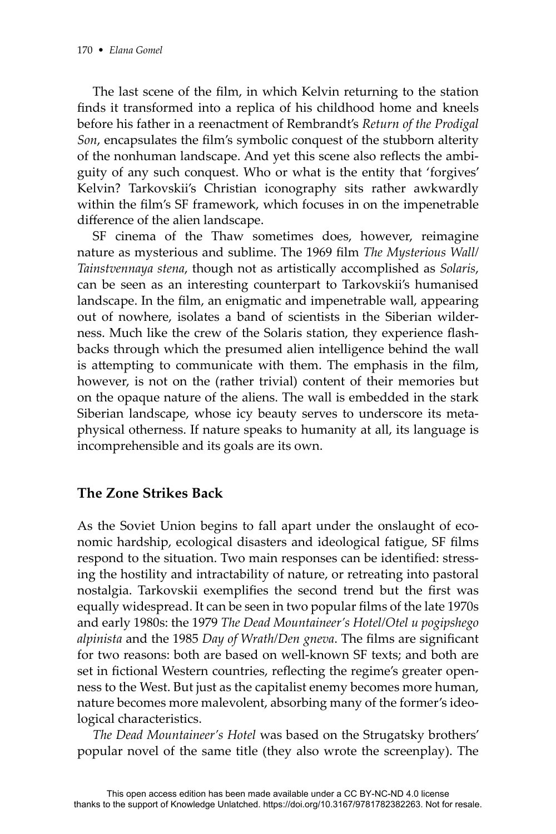The last scene of the film, in which Kelvin returning to the station finds it transformed into a replica of his childhood home and kneels before his father in a reenactment of Rembrandt's *Return of the Prodigal Son*, encapsulates the film's symbolic conquest of the stubborn alterity of the nonhuman landscape. And yet this scene also reflects the ambiguity of any such conquest. Who or what is the entity that 'forgives' Kelvin? Tarkovskii's Christian iconography sits rather awkwardly within the film's SF framework, which focuses in on the impenetrable difference of the alien landscape.

SF cinema of the Thaw sometimes does, however, reimagine nature as mysterious and sublime. The 1969 film *The Mysterious Wall/ Tainstvennaya stena*, though not as artistically accomplished as *Solaris*, can be seen as an interesting counterpart to Tarkovskii's humanised landscape. In the film, an enigmatic and impenetrable wall, appearing out of nowhere, isolates a band of scientists in the Siberian wilderness. Much like the crew of the Solaris station, they experience flashbacks through which the presumed alien intelligence behind the wall is attempting to communicate with them. The emphasis in the film, however, is not on the (rather trivial) content of their memories but on the opaque nature of the aliens. The wall is embedded in the stark Siberian landscape, whose icy beauty serves to underscore its metaphysical otherness. If nature speaks to humanity at all, its language is incomprehensible and its goals are its own.

## **The Zone Strikes Back**

As the Soviet Union begins to fall apart under the onslaught of economic hardship, ecological disasters and ideological fatigue, SF films respond to the situation. Two main responses can be identified: stressing the hostility and intractability of nature, or retreating into pastoral nostalgia. Tarkovskii exemplifies the second trend but the first was equally widespread. It can be seen in two popular films of the late 1970s and early 1980s: the 1979 *The Dead Mountaineer's Hotel/Otel u pogipshego alpinista* and the 1985 *Day of Wrath/Den gneva*. The films are significant for two reasons: both are based on well-known SF texts; and both are set in fictional Western countries, reflecting the regime's greater openness to the West. But just as the capitalist enemy becomes more human, nature becomes more malevolent, absorbing many of the former's ideological characteristics.

*The Dead Mountaineer's Hotel* was based on the Strugatsky brothers' popular novel of the same title (they also wrote the screenplay). The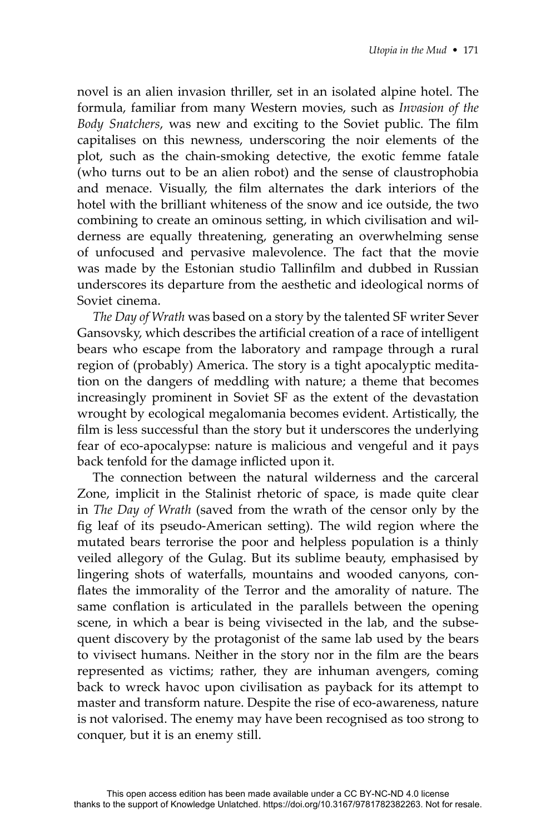novel is an alien invasion thriller, set in an isolated alpine hotel. The formula, familiar from many Western movies, such as *Invasion of the Body Snatchers*, was new and exciting to the Soviet public. The film capitalises on this newness, underscoring the noir elements of the plot, such as the chain-smoking detective, the exotic femme fatale (who turns out to be an alien robot) and the sense of claustrophobia and menace. Visually, the film alternates the dark interiors of the hotel with the brilliant whiteness of the snow and ice outside, the two combining to create an ominous setting, in which civilisation and wilderness are equally threatening, generating an overwhelming sense of unfocused and pervasive malevolence. The fact that the movie was made by the Estonian studio Tallinfilm and dubbed in Russian underscores its departure from the aesthetic and ideological norms of Soviet cinema.

*The Day of Wrath* was based on a story by the talented SF writer Sever Gansovsky, which describes the artificial creation of a race of intelligent bears who escape from the laboratory and rampage through a rural region of (probably) America. The story is a tight apocalyptic meditation on the dangers of meddling with nature; a theme that becomes increasingly prominent in Soviet SF as the extent of the devastation wrought by ecological megalomania becomes evident. Artistically, the film is less successful than the story but it underscores the underlying fear of eco-apocalypse: nature is malicious and vengeful and it pays back tenfold for the damage inflicted upon it.

The connection between the natural wilderness and the carceral Zone, implicit in the Stalinist rhetoric of space, is made quite clear in *The Day of Wrath* (saved from the wrath of the censor only by the fig leaf of its pseudo-American setting). The wild region where the mutated bears terrorise the poor and helpless population is a thinly veiled allegory of the Gulag. But its sublime beauty, emphasised by lingering shots of waterfalls, mountains and wooded canyons, conflates the immorality of the Terror and the amorality of nature. The same conflation is articulated in the parallels between the opening scene, in which a bear is being vivisected in the lab, and the subsequent discovery by the protagonist of the same lab used by the bears to vivisect humans. Neither in the story nor in the film are the bears represented as victims; rather, they are inhuman avengers, coming back to wreck havoc upon civilisation as payback for its attempt to master and transform nature. Despite the rise of eco-awareness, nature is not valorised. The enemy may have been recognised as too strong to conquer, but it is an enemy still.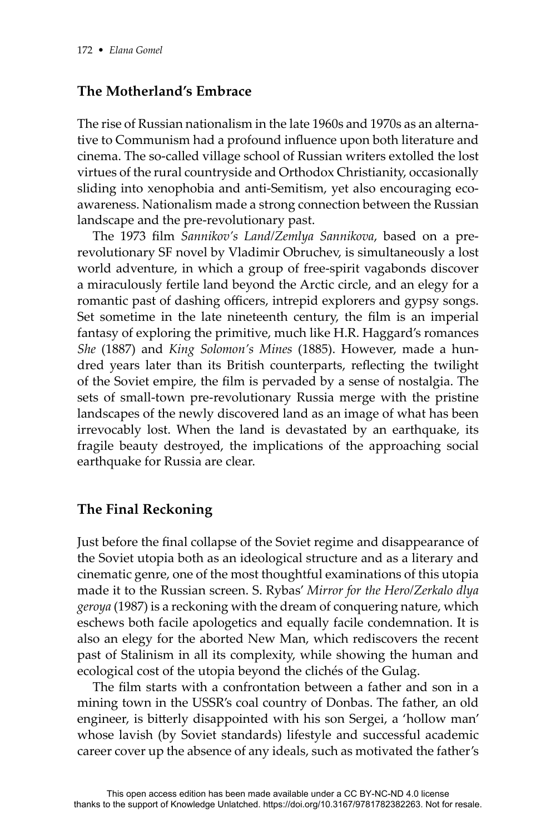#### **The Motherland's Embrace**

The rise of Russian nationalism in the late 1960s and 1970s as an alternative to Communism had a profound influence upon both literature and cinema. The so-called village school of Russian writers extolled the lost virtues of the rural countryside and Orthodox Christianity, occasionally sliding into xenophobia and anti-Semitism, yet also encouraging ecoawareness. Nationalism made a strong connection between the Russian landscape and the pre-revolutionary past.

The 1973 film *Sannikov's Land/Zemlya Sannikova*, based on a prerevolutionary SF novel by Vladimir Obruchev, is simultaneously a lost world adventure, in which a group of free-spirit vagabonds discover a miraculously fertile land beyond the Arctic circle, and an elegy for a romantic past of dashing officers, intrepid explorers and gypsy songs. Set sometime in the late nineteenth century, the film is an imperial fantasy of exploring the primitive, much like H.R. Haggard's romances *She* (1887) and *King Solomon's Mines* (1885). However, made a hundred years later than its British counterparts, reflecting the twilight of the Soviet empire, the film is pervaded by a sense of nostalgia. The sets of small-town pre-revolutionary Russia merge with the pristine landscapes of the newly discovered land as an image of what has been irrevocably lost. When the land is devastated by an earthquake, its fragile beauty destroyed, the implications of the approaching social earthquake for Russia are clear.

#### **The Final Reckoning**

Just before the final collapse of the Soviet regime and disappearance of the Soviet utopia both as an ideological structure and as a literary and cinematic genre, one of the most thoughtful examinations of this utopia made it to the Russian screen. S. Rybas' *Mirror for the Hero/Zerkalo dlya geroya* (1987) is a reckoning with the dream of conquering nature, which eschews both facile apologetics and equally facile condemnation. It is also an elegy for the aborted New Man, which rediscovers the recent past of Stalinism in all its complexity, while showing the human and ecological cost of the utopia beyond the clichés of the Gulag.

The film starts with a confrontation between a father and son in a mining town in the USSR's coal country of Donbas. The father, an old engineer, is bitterly disappointed with his son Sergei, a 'hollow man' whose lavish (by Soviet standards) lifestyle and successful academic career cover up the absence of any ideals, such as motivated the father's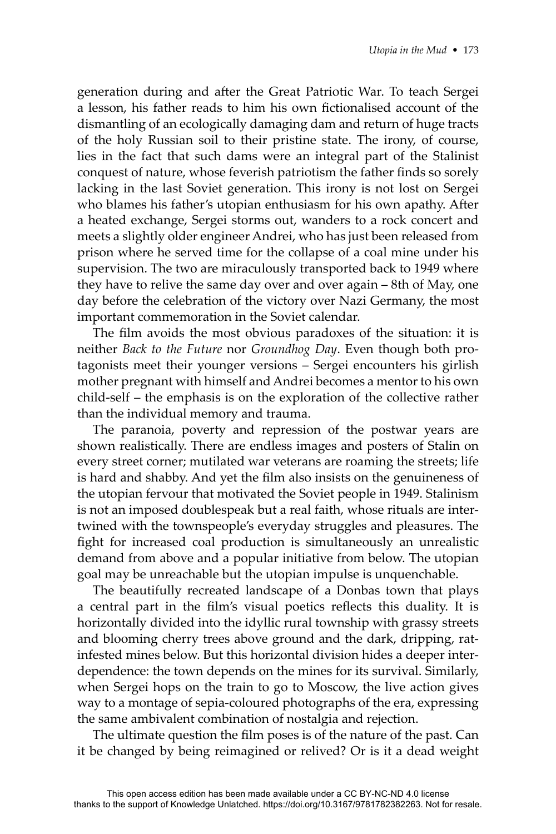generation during and after the Great Patriotic War. To teach Sergei a lesson, his father reads to him his own fictionalised account of the dismantling of an ecologically damaging dam and return of huge tracts of the holy Russian soil to their pristine state. The irony, of course, lies in the fact that such dams were an integral part of the Stalinist conquest of nature, whose feverish patriotism the father finds so sorely lacking in the last Soviet generation. This irony is not lost on Sergei who blames his father's utopian enthusiasm for his own apathy. After a heated exchange, Sergei storms out, wanders to a rock concert and meets a slightly older engineer Andrei, who has just been released from prison where he served time for the collapse of a coal mine under his supervision. The two are miraculously transported back to 1949 where they have to relive the same day over and over again – 8th of May, one day before the celebration of the victory over Nazi Germany, the most important commemoration in the Soviet calendar.

The film avoids the most obvious paradoxes of the situation: it is neither *Back to the Future* nor *Groundhog Day*. Even though both protagonists meet their younger versions – Sergei encounters his girlish mother pregnant with himself and Andrei becomes a mentor to his own child-self – the emphasis is on the exploration of the collective rather than the individual memory and trauma.

The paranoia, poverty and repression of the postwar years are shown realistically. There are endless images and posters of Stalin on every street corner; mutilated war veterans are roaming the streets; life is hard and shabby. And yet the film also insists on the genuineness of the utopian fervour that motivated the Soviet people in 1949. Stalinism is not an imposed doublespeak but a real faith, whose rituals are intertwined with the townspeople's everyday struggles and pleasures. The fight for increased coal production is simultaneously an unrealistic demand from above and a popular initiative from below. The utopian goal may be unreachable but the utopian impulse is unquenchable.

The beautifully recreated landscape of a Donbas town that plays a central part in the film's visual poetics reflects this duality. It is horizontally divided into the idyllic rural township with grassy streets and blooming cherry trees above ground and the dark, dripping, ratinfested mines below. But this horizontal division hides a deeper interdependence: the town depends on the mines for its survival. Similarly, when Sergei hops on the train to go to Moscow, the live action gives way to a montage of sepia-coloured photographs of the era, expressing the same ambivalent combination of nostalgia and rejection.

The ultimate question the film poses is of the nature of the past. Can it be changed by being reimagined or relived? Or is it a dead weight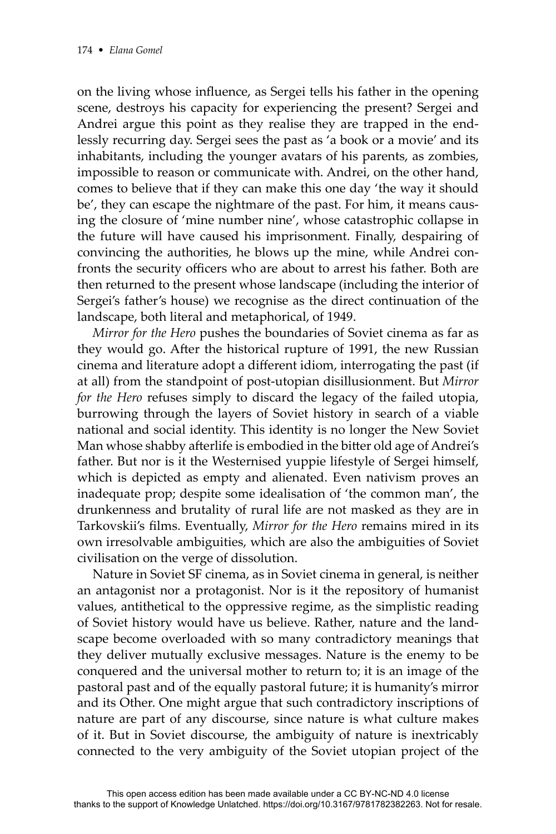on the living whose influence, as Sergei tells his father in the opening scene, destroys his capacity for experiencing the present? Sergei and Andrei argue this point as they realise they are trapped in the endlessly recurring day. Sergei sees the past as 'a book or a movie' and its inhabitants, including the younger avatars of his parents, as zombies, impossible to reason or communicate with. Andrei, on the other hand, comes to believe that if they can make this one day 'the way it should be', they can escape the nightmare of the past. For him, it means causing the closure of 'mine number nine', whose catastrophic collapse in the future will have caused his imprisonment. Finally, despairing of convincing the authorities, he blows up the mine, while Andrei confronts the security officers who are about to arrest his father. Both are then returned to the present whose landscape (including the interior of Sergei's father's house) we recognise as the direct continuation of the landscape, both literal and metaphorical, of 1949.

*Mirror for the Hero* pushes the boundaries of Soviet cinema as far as they would go. After the historical rupture of 1991, the new Russian cinema and literature adopt a different idiom, interrogating the past (if at all) from the standpoint of post-utopian disillusionment. But *Mirror for the Hero* refuses simply to discard the legacy of the failed utopia, burrowing through the layers of Soviet history in search of a viable national and social identity. This identity is no longer the New Soviet Man whose shabby afterlife is embodied in the bitter old age of Andrei's father. But nor is it the Westernised yuppie lifestyle of Sergei himself, which is depicted as empty and alienated. Even nativism proves an inadequate prop; despite some idealisation of 'the common man', the drunkenness and brutality of rural life are not masked as they are in Tarkovskii's films. Eventually, *Mirror for the Hero* remains mired in its own irresolvable ambiguities, which are also the ambiguities of Soviet civilisation on the verge of dissolution.

Nature in Soviet SF cinema, as in Soviet cinema in general, is neither an antagonist nor a protagonist. Nor is it the repository of humanist values, antithetical to the oppressive regime, as the simplistic reading of Soviet history would have us believe. Rather, nature and the landscape become overloaded with so many contradictory meanings that they deliver mutually exclusive messages. Nature is the enemy to be conquered and the universal mother to return to; it is an image of the pastoral past and of the equally pastoral future; it is humanity's mirror and its Other. One might argue that such contradictory inscriptions of nature are part of any discourse, since nature is what culture makes of it. But in Soviet discourse, the ambiguity of nature is inextricably connected to the very ambiguity of the Soviet utopian project of the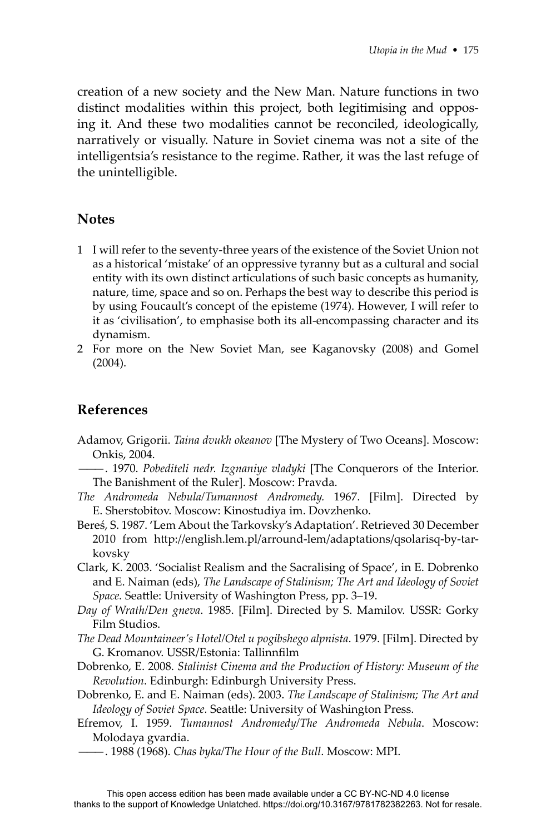creation of a new society and the New Man. Nature functions in two distinct modalities within this project, both legitimising and opposing it. And these two modalities cannot be reconciled, ideologically, narratively or visually. Nature in Soviet cinema was not a site of the intelligentsia's resistance to the regime. Rather, it was the last refuge of the unintelligible.

#### **Notes**

- 1 I will refer to the seventy-three years of the existence of the Soviet Union not as a historical 'mistake' of an oppressive tyranny but as a cultural and social entity with its own distinct articulations of such basic concepts as humanity, nature, time, space and so on. Perhaps the best way to describe this period is by using Foucault's concept of the episteme (1974). However, I will refer to it as 'civilisation', to emphasise both its all-encompassing character and its dynamism.
- 2 For more on the New Soviet Man, see Kaganovsky (2008) and Gomel (2004).

## **References**

- Adamov, Grigorii. *Taina dvukh okeanov* [The Mystery of Two Oceans]. Moscow: Onkis, 2004.
- ———. 1970. *Pobediteli nedr. Izgnaniye vladyki* [The Conquerors of the Interior. The Banishment of the Ruler]. Moscow: Pravda.
- *The Andromeda Nebula/Tumannost Andromedy.* 1967. [Film]. Directed by E. Sherstobitov. Moscow: Kinostudiya im. Dovzhenko.
- Bereś, S. 1987. 'Lem About the Tarkovsky's Adaptation'. Retrieved 30 December 2010 from http://english.lem.pl/arround-lem/adaptations/qsolarisq-by-tarkovsky
- Clark, K. 2003. 'Socialist Realism and the Sacralising of Space', in E. Dobrenko and E. Naiman (eds), *The Landscape of Stalinism; The Art and Ideology of Soviet Space.* Seattle: University of Washington Press, pp. 3–19.
- *Day of Wrath/Den gneva*. 1985. [Film]. Directed by S. Mamilov. USSR: Gorky Film Studios.
- *The Dead Mountaineer's Hotel/Otel u pogibshego alpnista*. 1979. [Film]. Directed by G. Kromanov. USSR/Estonia: Tallinnfilm
- Dobrenko, E. 2008. *Stalinist Cinema and the Production of History: Museum of the Revolution*. Edinburgh: Edinburgh University Press.
- Dobrenko, E. and E. Naiman (eds). 2003. *The Landscape of Stalinism; The Art and Ideology of Soviet Space.* Seattle: University of Washington Press.
- Efremov, I. 1959. *Tumannost Andromedy/The Andromeda Nebula*. Moscow: Molodaya gvardia.
- ———. 1988 (1968). *Chas byka/The Hour of the Bull*. Moscow: MPI.